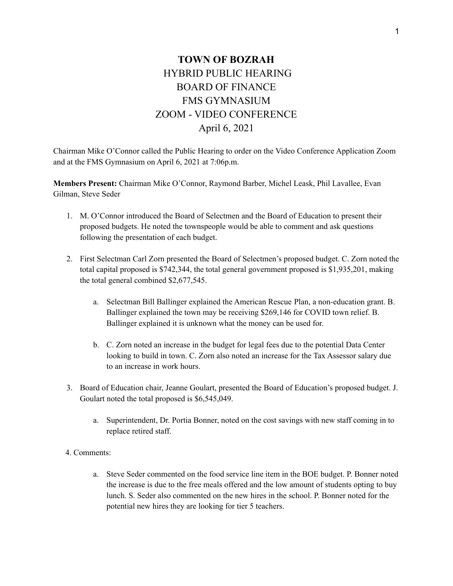## **TOWN OF BOZRAH** HYBRID PUBLIC HEARING BOARD OF FINANCE FMS GYMNASIUM ZOOM - VIDEO CONFERENCE April 6, 2021

Chairman Mike O'Connor called the Public Hearing to order on the Video Conference Application Zoom and at the FMS Gymnasium on April 6, 2021 at 7:06p.m.

**Members Present:** Chairman Mike O'Connor, Raymond Barber, Michel Leask, Phil Lavallee, Evan Gilman, Steve Seder

- 1. M. O'Connor introduced the Board of Selectmen and the Board of Education to present their proposed budgets. He noted the townspeople would be able to comment and ask questions following the presentation of each budget.
- 2. First Selectman Carl Zorn presented the Board of Selectmen's proposed budget. C. Zorn noted the total capital proposed is \$742,344, the total general government proposed is \$1,935,201, making the total general combined \$2,677,545.
	- a. Selectman Bill Ballinger explained the American Rescue Plan, a non-education grant. B. Ballinger explained the town may be receiving \$269,146 for COVID town relief. B. Ballinger explained it is unknown what the money can be used for.
	- b. C. Zorn noted an increase in the budget for legal fees due to the potential Data Center looking to build in town. C. Zorn also noted an increase for the Tax Assessor salary due to an increase in work hours.
- 3. Board of Education chair, Jeanne Goulart, presented the Board of Education's proposed budget. J. Goulart noted the total proposed is \$6,545,049.
	- a. Superintendent, Dr. Portia Bonner, noted on the cost savings with new staff coming in to replace retired staff.
- 4. Comments:
	- a. Steve Seder commented on the food service line item in the BOE budget. P. Bonner noted the increase is due to the free meals offered and the low amount of students opting to buy lunch. S. Seder also commented on the new hires in the school. P. Bonner noted for the potential new hires they are looking for tier 5 teachers.